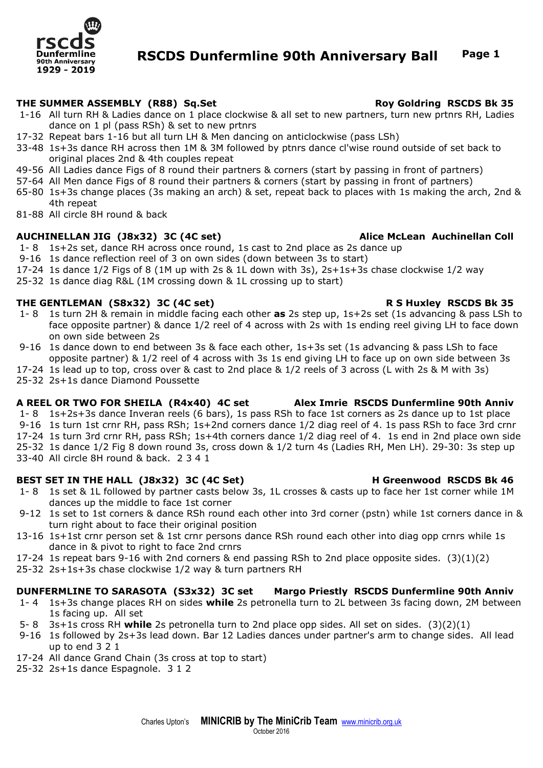

# **RSCDS Dunfermline 90th Anniversary Ball Page 1**

# **THE SUMMER ASSEMBLY (R88) Sq.Set Roy Goldring RSCDS Bk 35**

- 1-16 All turn RH & Ladies dance on 1 place clockwise & all set to new partners, turn new prtnrs RH, Ladies dance on 1 pl (pass RSh) & set to new prtnrs
- 17-32 Repeat bars 1-16 but all turn LH & Men dancing on anticlockwise (pass LSh)
- 33-48 1s+3s dance RH across then 1M & 3M followed by ptnrs dance cl'wise round outside of set back to original places 2nd & 4th couples repeat
- 49-56 All Ladies dance Figs of 8 round their partners & corners (start by passing in front of partners)
- 57-64 All Men dance Figs of 8 round their partners & corners (start by passing in front of partners)
- 65-80 1s+3s change places (3s making an arch) & set, repeat back to places with 1s making the arch, 2nd & 4th repeat
- 81-88 All circle 8H round & back

### **AUCHINELLAN JIG (J8x32) 3C (4C set) Alice McLean Auchinellan Coll**

- 1- 8 1s+2s set, dance RH across once round, 1s cast to 2nd place as 2s dance up
- 9-16 1s dance reflection reel of 3 on own sides (down between 3s to start)
- 17-24 1s dance 1/2 Figs of 8 (1M up with 2s & 1L down with 3s), 2s+1s+3s chase clockwise 1/2 way
- 25-32 1s dance diag R&L (1M crossing down & 1L crossing up to start)

# **THE GENTLEMAN (S8x32) 3C (4C set) R S Huxley RSCDS Bk 35**

- 1- 8 1s turn 2H & remain in middle facing each other **as** 2s step up, 1s+2s set (1s advancing & pass LSh to face opposite partner) & dance 1/2 reel of 4 across with 2s with 1s ending reel giving LH to face down on own side between 2s
- 9-16 1s dance down to end between 3s & face each other, 1s+3s set (1s advancing & pass LSh to face opposite partner) & 1/2 reel of 4 across with 3s 1s end giving LH to face up on own side between 3s
- 17-24 1s lead up to top, cross over & cast to 2nd place & 1/2 reels of 3 across (L with 2s & M with 3s)
- 25-32 2s+1s dance Diamond Poussette

### **A REEL OR TWO FOR SHEILA (R4x40) 4C set Alex Imrie RSCDS Dunfermline 90th Anniv**

- 1- 8 1s+2s+3s dance Inveran reels (6 bars), 1s pass RSh to face 1st corners as 2s dance up to 1st place
- 9-16 1s turn 1st crnr RH, pass RSh; 1s+2nd corners dance 1/2 diag reel of 4. 1s pass RSh to face 3rd crnr
- 17-24 1s turn 3rd crnr RH, pass RSh; 1s+4th corners dance 1/2 diag reel of 4. 1s end in 2nd place own side

25-32 1s dance 1/2 Fig 8 down round 3s, cross down & 1/2 turn 4s (Ladies RH, Men LH). 29-30: 3s step up

33-40 All circle 8H round & back. 2 3 4 1

### BEST SET IN THE HALL (J8x32) 3C (4C Set) H Greenwood RSCDS Bk 46

- 1- 8 1s set & 1L followed by partner casts below 3s, 1L crosses & casts up to face her 1st corner while 1M dances up the middle to face 1st corner
- 9-12 1s set to 1st corners & dance RSh round each other into 3rd corner (pstn) while 1st corners dance in & turn right about to face their original position
- 13-16 1s+1st crnr person set & 1st crnr persons dance RSh round each other into diag opp crnrs while 1s dance in & pivot to right to face 2nd crnrs
- 17-24 1s repeat bars 9-16 with 2nd corners & end passing RSh to 2nd place opposite sides. (3)(1)(2)
- 25-32 2s+1s+3s chase clockwise 1/2 way & turn partners RH

### **DUNFERMLINE TO SARASOTA (S3x32) 3C set Margo Priestly RSCDS Dunfermline 90th Anniv**

- 1- 4 1s+3s change places RH on sides **while** 2s petronella turn to 2L between 3s facing down, 2M between 1s facing up. All set
- 5- 8 3s+1s cross RH **while** 2s petronella turn to 2nd place opp sides. All set on sides. (3)(2)(1)
- 9-16 1s followed by 2s+3s lead down. Bar 12 Ladies dances under partner's arm to change sides. All lead up to end 3 2 1
- 17-24 All dance Grand Chain (3s cross at top to start)
- 25-32 2s+1s dance Espagnole. 3 1 2

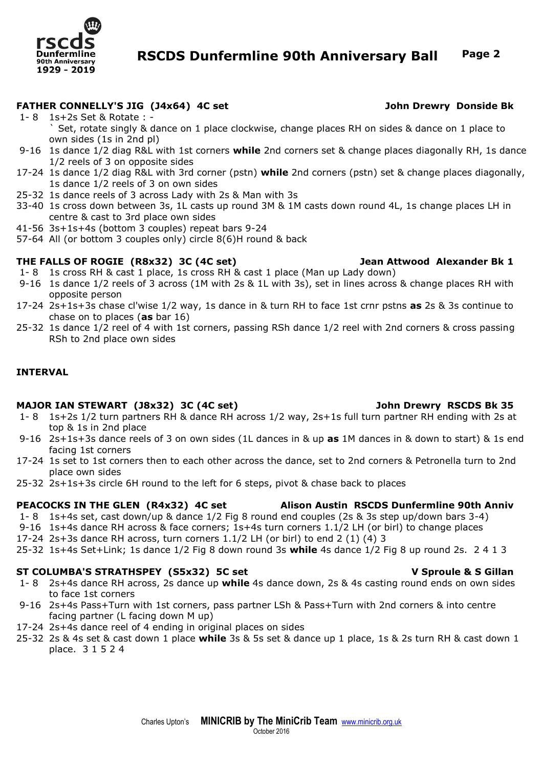

# **RSCDS Dunfermline 90th Anniversary Ball Page 2**

# **FATHER CONNELLY'S JIG (J4x64) 4C set John Drewry Donside Bk**

- 1- 8 1s+2s Set & Rotate : Set, rotate singly & dance on 1 place clockwise, change places RH on sides & dance on 1 place to own sides (1s in 2nd pl)
- 9-16 1s dance 1/2 diag R&L with 1st corners **while** 2nd corners set & change places diagonally RH, 1s dance 1/2 reels of 3 on opposite sides
- 17-24 1s dance 1/2 diag R&L with 3rd corner (pstn) **while** 2nd corners (pstn) set & change places diagonally, 1s dance 1/2 reels of 3 on own sides
- 25-32 1s dance reels of 3 across Lady with 2s & Man with 3s
- 33-40 1s cross down between 3s, 1L casts up round 3M & 1M casts down round 4L, 1s change places LH in centre & cast to 3rd place own sides
- 41-56 3s+1s+4s (bottom 3 couples) repeat bars 9-24
- 57-64 All (or bottom 3 couples only) circle 8(6)H round & back

# **THE FALLS OF ROGIE (R8x32) 3C (4C set) Jean Attwood Alexander Bk 1**

- 1- 8 1s cross RH & cast 1 place, 1s cross RH & cast 1 place (Man up Lady down)
- 9-16 1s dance 1/2 reels of 3 across (1M with 2s & 1L with 3s), set in lines across & change places RH with opposite person
- 17-24 2s+1s+3s chase cl'wise 1/2 way, 1s dance in & turn RH to face 1st crnr pstns **as** 2s & 3s continue to chase on to places (**as** bar 16)
- 25-32 1s dance 1/2 reel of 4 with 1st corners, passing RSh dance 1/2 reel with 2nd corners & cross passing RSh to 2nd place own sides

### **INTERVAL**

### **MAJOR IAN STEWART (J8x32) 3C (4C set) John Drewry RSCDS Bk 35**

- 1- 8 1s+2s 1/2 turn partners RH & dance RH across 1/2 way, 2s+1s full turn partner RH ending with 2s at top & 1s in 2nd place
- 9-16 2s+1s+3s dance reels of 3 on own sides (1L dances in & up **as** 1M dances in & down to start) & 1s end facing 1st corners
- 17-24 1s set to 1st corners then to each other across the dance, set to 2nd corners & Petronella turn to 2nd place own sides
- 25-32 2s+1s+3s circle 6H round to the left for 6 steps, pivot & chase back to places

### **PEACOCKS IN THE GLEN (R4x32) 4C set Alison Austin RSCDS Dunfermline 90th Anniv**

- 1- 8 1s+4s set, cast down/up & dance 1/2 Fig 8 round end couples (2s & 3s step up/down bars 3-4)
- 9-16 1s+4s dance RH across & face corners; 1s+4s turn corners 1.1/2 LH (or birl) to change places
- 17-24 2s+3s dance RH across, turn corners  $1.1/2$  LH (or birl) to end 2 (1) (4) 3
- 25-32 1s+4s Set+Link; 1s dance 1/2 Fig 8 down round 3s **while** 4s dance 1/2 Fig 8 up round 2s. 2 4 1 3

### **ST COLUMBA'S STRATHSPEY (S5x32) 5C set V Sproule & S Gillan**

- 1- 8 2s+4s dance RH across, 2s dance up **while** 4s dance down, 2s & 4s casting round ends on own sides to face 1st corners
- 9-16 2s+4s Pass+Turn with 1st corners, pass partner LSh & Pass+Turn with 2nd corners & into centre facing partner (L facing down M up)
- 17-24 2s+4s dance reel of 4 ending in original places on sides
- 25-32 2s & 4s set & cast down 1 place **while** 3s & 5s set & dance up 1 place, 1s & 2s turn RH & cast down 1 place. 3 1 5 2 4